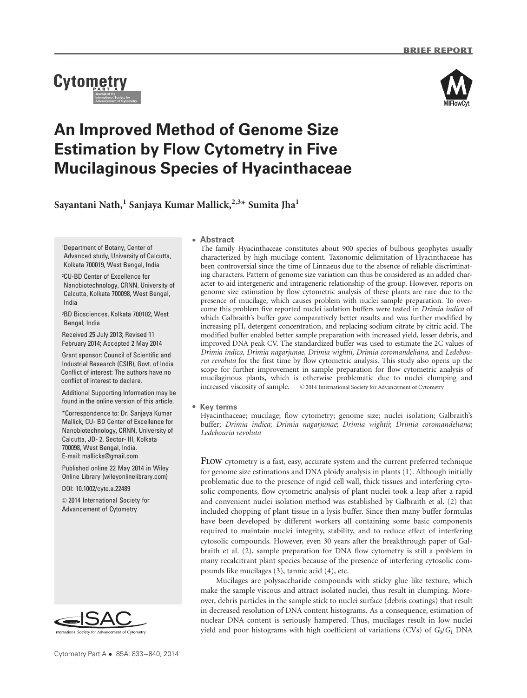# **Cytometry**



# An Improved Method of Genome Size Estimation by Flow Cytometry in Five Mucilaginous Species of Hyacinthaceae

Sayantani Nath, $^{\rm l}$  Sanjaya Kumar Mallick, $^{2,3\star}$  Sumita Jha $^{\rm l}$ 

<sup>1</sup>Department of Botany, Center of Advanced study, University of Calcutta, Kolkata 700019, West Bengal, India

<sup>2</sup>CU-BD Center of Excellence for Nanobiotechnology, CRNN, University of Calcutta, Kolkata 700098, West Bengal, India

<sup>3</sup>BD Biosciences, Kolkata 700102, West Bengal, India

Received 25 July 2013; Revised 11 February 2014; Accepted 2 May 2014

Grant sponsor: Council of Scientific and Industrial Research (CSIR), Govt. of India Conflict of interest: The authors have no conflict of interest to declare.

Additional Supporting Information may be found in the online version of this article.

\*Correspondence to: Dr. Sanjaya Kumar Mallick, CU- BD Center of Excellence for Nanobiotechnology, CRNN, University of Calcutta, JD- 2, Sector- III, Kolkata 700098, West Bengal, India. E-mail: mallicks@gmail.com

Published online 22 May 2014 in Wiley Online Library (wileyonlinelibrary.com)

DOI: 10.1002/cyto.a.22489

 $©$  2014 International Society for Advancement of Cytometry



# - Abstract

The family Hyacinthaceae constitutes about 900 species of bulbous geophytes usually characterized by high mucilage content. Taxonomic delimitation of Hyacinthaceae has been controversial since the time of Linnaeus due to the absence of reliable discriminating characters. Pattern of genome size variation can thus be considered as an added character to aid intergeneric and intrageneric relationship of the group. However, reports on genome size estimation by flow cytometric analysis of these plants are rare due to the presence of mucilage, which causes problem with nuclei sample preparation. To overcome this problem five reported nuclei isolation buffers were tested in Drimia indica of which Galbraith's buffer gave comparatively better results and was further modified by increasing pH, detergent concentration, and replacing sodium citrate by citric acid. The modified buffer enabled better sample preparation with increased yield, lesser debris, and improved DNA peak CV. The standardized buffer was used to estimate the 2C values of Drimia indica, Drimia nagarjunae, Drimia wightii, Drimia coromandeliana, and Ledebouria revoluta for the first time by flow cytometric analysis. This study also opens up the scope for further improvement in sample preparation for flow cytometric analysis of mucilaginous plants, which is otherwise problematic due to nuclei clumping and increased viscosity of sample.  $\circ$  2014 International Society for Advancement of Cytometry

# • Key terms

Hyacinthaceae; mucilage; flow cytometry; genome size; nuclei isolation; Galbraith's buffer; Drimia indica; Drimia nagarjunae; Drimia wightii; Drimia coromandeliana; Ledebouria revoluta

FLOW cytometry is a fast, easy, accurate system and the current preferred technique for genome size estimations and DNA ploidy analysis in plants (1). Although initially problematic due to the presence of rigid cell wall, thick tissues and interfering cytosolic components, flow cytometric analysis of plant nuclei took a leap after a rapid and convenient nuclei isolation method was established by Galbraith et al. (2) that included chopping of plant tissue in a lysis buffer. Since then many buffer formulas have been developed by different workers all containing some basic components required to maintain nuclei integrity, stability, and to reduce effect of interfering cytosolic compounds. However, even 30 years after the breakthrough paper of Galbraith et al. (2), sample preparation for DNA flow cytometry is still a problem in many recalcitrant plant species because of the presence of interfering cytosolic compounds like mucilages (3), tannic acid (4), etc.

Mucilages are polysaccharide compounds with sticky glue like texture, which make the sample viscous and attract isolated nuclei, thus result in clumping. Moreover, debris particles in the sample stick to nuclei surface (debris coatings) that result in decreased resolution of DNA content histograms. As a consequence, estimation of nuclear DNA content is seriously hampered. Thus, mucilages result in low nuclei yield and poor histograms with high coefficient of variations (CVs) of  $G_0/G_1$  DNA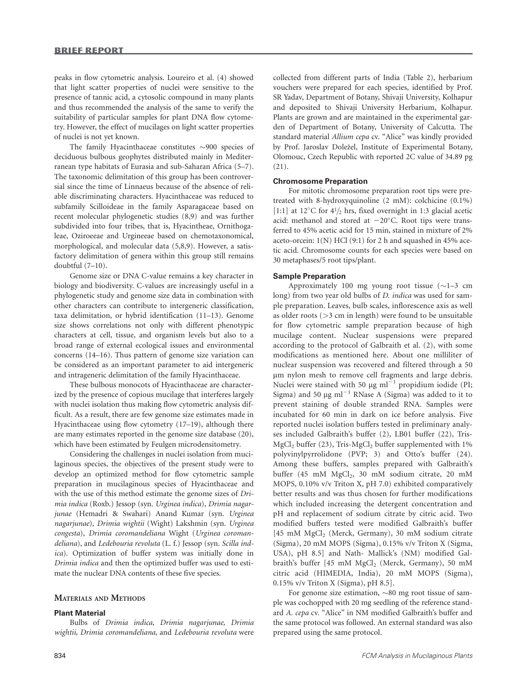peaks in flow cytometric analysis. Loureiro et al. (4) showed that light scatter properties of nuclei were sensitive to the presence of tannic acid, a cytosolic compound in many plants and thus recommended the analysis of the same to verify the suitability of particular samples for plant DNA flow cytometry. However, the effect of mucilages on light scatter properties of nuclei is not yet known.

The family Hyacinthaceae constitutes  $\sim$ 900 species of deciduous bulbous geophytes distributed mainly in Mediterranean type habitats of Eurasia and sub-Saharan Africa (5–7). The taxonomic delimitation of this group has been controversial since the time of Linnaeus because of the absence of reliable discriminating characters. Hyacinthaceae was reduced to subfamily Scilloideae in the family Asparagaceae based on recent molecular phylogenetic studies (8,9) and was further subdivided into four tribes, that is, Hyacintheae, Ornithogaleae, Oziroeeae and Urgineeae based on chemotaxonomical, morphological, and molecular data (5,8,9). However, a satisfactory delimitation of genera within this group still remains doubtful (7–10).

Genome size or DNA C-value remains a key character in biology and biodiversity. C-values are increasingly useful in a phylogenetic study and genome size data in combination with other characters can contribute to intergeneric classification, taxa delimitation, or hybrid identification (11–13). Genome size shows correlations not only with different phenotypic characters at cell, tissue, and organism levels but also to a broad range of external ecological issues and environmental concerns (14–16). Thus pattern of genome size variation can be considered as an important parameter to aid intergeneric and intrageneric delimitation of the family Hyacinthaceae.

These bulbous monocots of Hyacinthaceae are characterized by the presence of copious mucilage that interferes largely with nuclei isolation thus making flow cytometric analysis difficult. As a result, there are few genome size estimates made in Hyacinthaceae using flow cytometry (17–19), although there are many estimates reported in the genome size database (20), which have been estimated by Feulgen microdensitometry.

Considering the challenges in nuclei isolation from mucilaginous species, the objectives of the present study were to develop an optimized method for flow cytometric sample preparation in mucilaginous species of Hyacinthaceae and with the use of this method estimate the genome sizes of Drimia indica (Roxb.) Jessop (syn. Urginea indica), Drimia nagarjunae (Hemadri & Swahari) Anand Kumar (syn. Urginea nagarjunae), Drimia wightii (Wight) Lakshmin (syn. Urginea congesta), Drimia coromandeliana Wight (Urginea coromandeliana), and Ledebouria revoluta (L. f.) Jessop (syn. Scilla indica). Optimization of buffer system was initially done in Drimia indica and then the optimized buffer was used to estimate the nuclear DNA contents of these five species.

# MATERIALS AND METHODS

#### Plant Material

Bulbs of Drimia indica, Drimia nagarjunae, Drimia wightii, Drimia coromandeliana, and Ledebouria revoluta were

collected from different parts of India (Table 2), herbarium vouchers were prepared for each species, identified by Prof. SR Yadav, Department of Botany, Shivaji University, Kolhapur and deposited to Shivaji University Herbarium, Kolhapur. Plants are grown and are maintained in the experimental garden of Department of Botany, University of Calcutta. The standard material Allium cepa cv. "Alice" was kindly provided by Prof. Jaroslav Doležel, Institute of Experimental Botany, Olomouc, Czech Republic with reported 2C value of 34.89 pg  $(21)$ .

# Chromosome Preparation

For mitotic chromosome preparation root tips were pretreated with 8-hydroxyquinoline (2 mM): colchicine (0.1%) [1:1] at 12°C for  $4\frac{1}{2}$  hrs, fixed overnight in 1:3 glacial acetic acid: methanol and stored at  $-20^{\circ}$ C. Root tips were transferred to 45% acetic acid for 15 min, stained in mixture of 2% aceto-orcein: 1(N) HCl (9:1) for 2 h and squashed in 45% acetic acid. Chromosome counts for each species were based on 30 metaphases/5 root tips/plant.

#### Sample Preparation

Approximately 100 mg young root tissue  $(\sim]1-3$  cm long) from two year old bulbs of *D. indica* was used for sample preparation. Leaves, bulb scales, inflorescence axis as well as older roots  $($ >3 cm in length) were found to be unsuitable for flow cytometric sample preparation because of high mucilage content. Nuclear suspensions were prepared according to the protocol of Galbraith et al. (2), with some modifications as mentioned here. About one milliliter of nuclear suspension was recovered and filtered through a 50 mm nylon mesh to remove cell fragments and large debris. Nuclei were stained with 50  $\mu$ g ml<sup> $^{-1}$ </sup> propidium iodide (PI; Sigma) and 50  $\mu$ g ml<sup>-1</sup> RNase A (Sigma) was added to it to prevent staining of double stranded RNA. Samples were incubated for 60 min in dark on ice before analysis. Five reported nuclei isolation buffers tested in preliminary analyses included Galbraith's buffer (2), LB01 buffer (22), Tris- $MgCl<sub>2</sub>$  buffer (23), Tris- $MgCl<sub>2</sub>$  buffer supplemented with 1% polyvinylpyrrolidone (PVP; 3) and Otto's buffer (24). Among these buffers, samples prepared with Galbraith's buffer (45 mM MgCl<sub>2</sub>, 30 mM sodium citrate, 20 mM MOPS, 0.10% v/v Triton X, pH 7.0) exhibited comparatively better results and was thus chosen for further modifications which included increasing the detergent concentration and pH and replacement of sodium citrate by citric acid. Two modified buffers tested were modified Galbraith's buffer [45 mM MgCl<sub>2</sub> (Merck, Germany), 30 mM sodium citrate (Sigma), 20 mM MOPS (Sigma), 0.15% v/v Triton X (Sigma, USA), pH 8.5] and Nath- Mallick's (NM) modified Galbraith's buffer [45 mM MgCl<sub>2</sub> (Merck, Germany), 50 mM citric acid (HIMEDIA, India), 20 mM MOPS (Sigma), 0.15% v/v Triton X (Sigma), pH 8.5].

For genome size estimation,  $\sim 80$  mg root tissue of sample was cochopped with 20 mg seedling of the reference standard A. cepa cv. "Alice" in NM modified Galbraith's buffer and the same protocol was followed. An external standard was also prepared using the same protocol.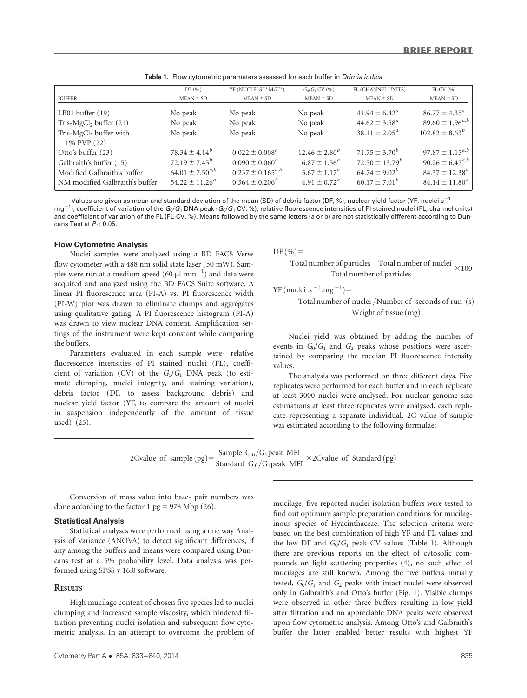|                                                                                                                | DF(%)                                                                                     | YF (NUCLEI $S^{-1} MG^{-1}$ )                                                                | $G_0/G_1$ CV $(\% )$                                                                    | FL (CHANNEL UNITS)                                                                    | $FL$ CV $(%)$                                                                                        |
|----------------------------------------------------------------------------------------------------------------|-------------------------------------------------------------------------------------------|----------------------------------------------------------------------------------------------|-----------------------------------------------------------------------------------------|---------------------------------------------------------------------------------------|------------------------------------------------------------------------------------------------------|
| <b>BUFFER</b>                                                                                                  | $MEAN \pm SD$                                                                             | $MEAN \pm SD$                                                                                | $MEAN \pm SD$                                                                           | $MEAN \pm SD$                                                                         | $MEAN \pm SD$                                                                                        |
| LB01 buffer $(19)$<br>Tris- $MgCl2 buffer (21)$                                                                | No peak<br>No peak                                                                        | No peak<br>No peak                                                                           | No peak<br>No peak                                                                      | $41.94 \pm 6.42^{\circ}$<br>$44.62 \pm 3.58^{\circ}$                                  | $86.77 \pm 4.35^{\circ}$<br>$89.60 \pm 1.96^{a,b}$                                                   |
| Tris- $MgCl2$ buffer with<br>1% PVP (22)                                                                       | No peak                                                                                   | No peak                                                                                      | No peak                                                                                 | $38.11 \pm 2.05^{\circ}$                                                              | $102.82 \pm 8.63^b$                                                                                  |
| Otto's buffer (23)<br>Galbraith's buffer (15)<br>Modified Galbraith's buffer<br>NM modified Galbraith's buffer | $78.34 \pm 4.14^b$<br>$72.19 \pm 7.45^b$<br>$64.01 \pm 7.50^{a,b}$<br>$54.22 \pm 11.26^a$ | $0.022 \pm 0.008^a$<br>$0.090 \pm 0.060^a$<br>$0.237 \pm 0.165^{a,b}$<br>$0.364 \pm 0.206^b$ | $12.46 \pm 2.80^b$<br>$6.87 \pm 1.56^a$<br>$5.67 \pm 1.17^a$<br>$4.91 \pm 0.72^{\circ}$ | $71.75 \pm 3.70^b$<br>$72.50 \pm 13.79^b$<br>$64.74 \pm 9.02^b$<br>$60.17 \pm 7.01^b$ | $97.87 \pm 1.15^{a,b}$<br>$90.26 \pm 6.42^{a,b}$<br>$84.37 \pm 12.38^{\circ}$<br>$84.14 \pm 11.80^a$ |

Table 1. Flow cytometric parameters assessed for each buffer in *Drimia indica* 

Values are given as mean and standard deviation of the mean (SD) of debris factor (DF, %), nuclear yield factor (YF, nuclei s<sup>-1</sup> mg<sup>-1</sup>), coefficient of variation of the  $G_0/G_1$  DNA peak ( $G_0/G_1$  CV, %), relative fluorescence intensities of PI stained nuclei (FL, channel units) and coefficient of variation of the FL (FL-CV, %). Means followed by the same letters (a or b) are not statistically different according to Duncans Test at  $P < 0.05$ .

#### Flow Cytometric Analysis

Nuclei samples were analyzed using a BD FACS Verse flow cytometer with a 488 nm solid state laser (50 mW). Samples were run at a medium speed (60  $\mu$ l min<sup>-1</sup>) and data were acquired and analyzed using the BD FACS Suite software. A linear PI fluorescence area (PI-A) vs. PI fluorescence width (PI-W) plot was drawn to eliminate clumps and aggregates using qualitative gating. A PI fluorescence histogram (PI-A) was drawn to view nuclear DNA content. Amplification settings of the instrument were kept constant while comparing the buffers.

Parameters evaluated in each sample were- relative fluorescence intensities of PI stained nuclei (FL), coefficient of variation (CV) of the  $G_0/G_1$  DNA peak (to estimate clumping, nuclei integrity, and staining variation), debris factor (DF, to assess background debris) and nuclear yield factor (YF, to compare the amount of nuclei in suspension independently of the amount of tissue used) (25).

 $DF(%)=$ 

$$
\frac{\text{Total number of particles} - \text{Total number of nuclei}}{\text{Total number of particles}} \times 100
$$

YF (nuclei .s<sup>-1</sup>.mg<sup>-1</sup>)=

$$
\frac{\text{Total number of nuclei / Number of seconds of run (s)}}{\text{Weight of tissue (mg)}}
$$

Nuclei yield was obtained by adding the number of events in  $G_0/G_1$  and  $G_2$  peaks whose positions were ascertained by comparing the median PI fluorescence intensity values.

The analysis was performed on three different days. Five replicates were performed for each buffer and in each replicate at least 3000 nuclei were analysed. For nuclear genome size estimations at least three replicates were analysed, each replicate representing a separate individual. 2C value of sample was estimated according to the following formulae:

2Cvalue of sample (pg) =  $\frac{\text{Sample } G_0/G_1 \text{peak MFI}}{\text{Standard } G_0/G_1 \text{peak MFI}} \times 2\text{Cvalue of Standard (pg)}$ 

Conversion of mass value into base- pair numbers was done according to the factor 1 pg = 978 Mbp (26).

# Statistical Analysis

Statistical analyses were performed using a one way Analysis of Variance (ANOVA) to detect significant differences, if any among the buffers and means were compared using Duncans test at a 5% probability level. Data analysis was performed using SPSS v 16.0 software.

#### **RESULTS**

High mucilage content of chosen five species led to nuclei clumping and increased sample viscosity, which hindered filtration preventing nuclei isolation and subsequent flow cytometric analysis. In an attempt to overcome the problem of

mucilage, five reported nuclei isolation buffers were tested to find out optimum sample preparation conditions for mucilaginous species of Hyacinthaceae. The selection criteria were based on the best combination of high YF and FL values and the low DF and  $G_0/G_1$  peak CV values (Table 1). Although there are previous reports on the effect of cytosolic compounds on light scattering properties (4), no such effect of mucilages are still known. Among the five buffers initially tested,  $G_0/G_1$  and  $G_2$  peaks with intact nuclei were observed only in Galbraith's and Otto's buffer (Fig. 1). Visible clumps were observed in other three buffers resulting in low yield after filtration and no appreciable DNA peaks were observed upon flow cytometric analysis. Among Otto's and Galbraith's buffer the latter enabled better results with highest YF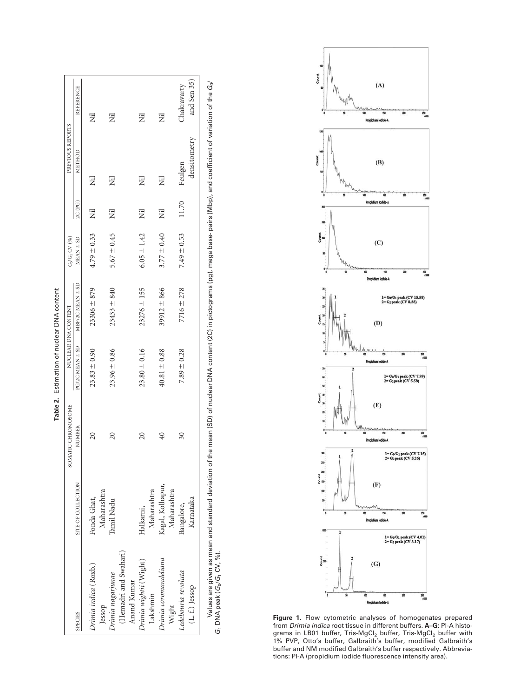|                                                      |                                 | SOMATIC CHROMOSOME  |                  | NUCLEAR DNA CONTENT | $G_0/G_1$ CV $(96)$ |         | PREVIOUS REPORTS |                  |
|------------------------------------------------------|---------------------------------|---------------------|------------------|---------------------|---------------------|---------|------------------|------------------|
| <b>SPECIES</b>                                       | SITE OF COLLECTION              | NUMBER              | PG/2C MEAN = SD  | MBP/2C MEAN ± SD    | $MEAN \pm SD$       | 2C (PG) | METHOD           | <b>REFERENCE</b> |
| Drimia indica (Roxb.)                                | Fonda Ghat,                     | $\overline{20}$     | $23.83 \pm 0.90$ | $23306 \pm 879$     | $4.79 \pm 0.33$     | Ë       | Ë                | Ë                |
| (Hemadri and Swahari)<br>Irimia nagarjunae<br>Jessop | Maharashtra<br>Tamil Nadu       | $\overline{20}$     | $23.96 \pm 0.86$ | $23433 \pm 840$     | $5.67 \pm 0.45$     | Ë       | Ë                | Ë                |
| Anand Kumar                                          |                                 |                     |                  |                     |                     |         | Ë                | Ë                |
| Drimia wightii (Wight)<br>Lakshmin                   | Maharashtra<br>Halkarni,        | $\overline{20}$     | $23.80 \pm 0.16$ | $23276 \pm 155$     | $6.05 \pm 1.42$     | Ë       |                  |                  |
| Drimia coromandeliana<br>Wight                       | Kagal, Kolhapur,<br>Maharashtra | $^{40}$             | $40.81 \pm 0.88$ | $39912 \pm 866$     | $3.77 \pm 0.40$     | Ë       | Ë                | Ë                |
| Ledebouria revoluta                                  | Bangalore,                      | $\overline{\omega}$ | $7.89 \pm 0.28$  | $7716 \pm 278$      | $7.49 \pm 0.53$     | 11.70   | Feulgen          | Chakravarty      |
| (L. f.) Jessop                                       | Karnataka                       |                     |                  |                     |                     |         | densitometry     | and Sen $35$ )   |





Figure 1. Flow cytometric analyses of homogenates prepared from *Drimia indica* root tissue in different buffers. **A–G**: PI-A histograms in LB01 buffer, Tris-MgCl $_2$  buffer, Tris-MgCl $_2$  buffer with 1% PVP, Otto's buffer, Galbraith's buffer, modified Galbraith's buffer and NM modified Galbraith's buffer respectively. Abbreviations: PI-A (propidium iodide fluorescence intensity area).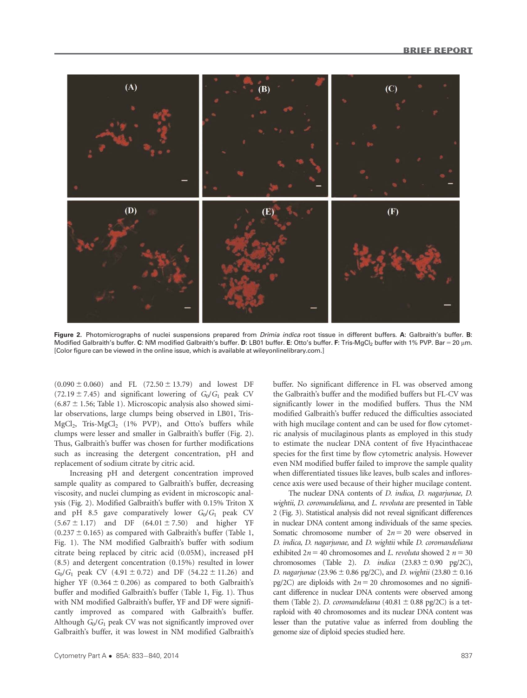

Figure 2. Photomicrographs of nuclei suspensions prepared from *Drimia indica* root tissue in different buffers. A: Galbraith's buffer. B: Modified Galbraith's buffer. C: NM modified Galbraith's buffer. D: LB01 buffer. E: Otto's buffer. F: Tris-MgCl<sub>2</sub> buffer with 1% PVP. Bar = 20 µm. [Color figure can be viewed in the online issue, which is available at wileyonlinelibrary.com.]

 $(0.090 \pm 0.060)$  and FL  $(72.50 \pm 13.79)$  and lowest DF (72.19  $\pm$  7.45) and significant lowering of  $G_0/G_1$  peak CV  $(6.87 \pm 1.56;$  Table 1). Microscopic analysis also showed similar observations, large clumps being observed in LB01, Tris- $MgCl<sub>2</sub>$ , Tris- $MgCl<sub>2</sub>$  (1% PVP), and Otto's buffers while clumps were lesser and smaller in Galbraith's buffer (Fig. 2). Thus, Galbraith's buffer was chosen for further modifications such as increasing the detergent concentration, pH and replacement of sodium citrate by citric acid.

Increasing pH and detergent concentration improved sample quality as compared to Galbraith's buffer, decreasing viscosity, and nuclei clumping as evident in microscopic analysis (Fig. 2). Modified Galbraith's buffer with 0.15% Triton X and pH 8.5 gave comparatively lower  $G_0/G_1$  peak CV  $(5.67 \pm 1.17)$  and DF  $(64.01 \pm 7.50)$  and higher YF  $(0.237 \pm 0.165)$  as compared with Galbraith's buffer (Table 1, Fig. 1). The NM modified Galbraith's buffer with sodium citrate being replaced by citric acid (0.05M), increased pH (8.5) and detergent concentration (0.15%) resulted in lower  $G_0/G_1$  peak CV (4.91 ± 0.72) and DF (54.22 ± 11.26) and higher YF (0.364  $\pm$  0.206) as compared to both Galbraith's buffer and modified Galbraith's buffer (Table 1, Fig. 1). Thus with NM modified Galbraith's buffer, YF and DF were significantly improved as compared with Galbraith's buffer. Although  $G_0/G_1$  peak CV was not significantly improved over Galbraith's buffer, it was lowest in NM modified Galbraith's

buffer. No significant difference in FL was observed among the Galbraith's buffer and the modified buffers but FL-CV was significantly lower in the modified buffers. Thus the NM modified Galbraith's buffer reduced the difficulties associated with high mucilage content and can be used for flow cytometric analysis of mucilaginous plants as employed in this study to estimate the nuclear DNA content of five Hyacinthaceae species for the first time by flow cytometric analysis. However even NM modified buffer failed to improve the sample quality when differentiated tissues like leaves, bulb scales and inflorescence axis were used because of their higher mucilage content.

The nuclear DNA contents of D. indica, D. nagarjunae, D. wightii, D. coromandeliana, and L. revoluta are presented in Table 2 (Fig. 3). Statistical analysis did not reveal significant differences in nuclear DNA content among individuals of the same species. Somatic chromosome number of  $2n = 20$  were observed in D. indica, D. nagarjunae, and D. wightii while D. coromandeliana exhibited  $2n = 40$  chromosomes and L. revoluta showed  $2n = 30$ chromosomes (Table 2). D. indica  $(23.83 \pm 0.90 \text{ pg}/2\text{C})$ , D. nagarjunae (23.96  $\pm$  0.86 pg/2C), and D. wightii (23.80  $\pm$  0.16 pg/2C) are diploids with  $2n = 20$  chromosomes and no significant difference in nuclear DNA contents were observed among them (Table 2). D. coromandeliana (40.81  $\pm$  0.88 pg/2C) is a tetraploid with 40 chromosomes and its nuclear DNA content was lesser than the putative value as inferred from doubling the genome size of diploid species studied here.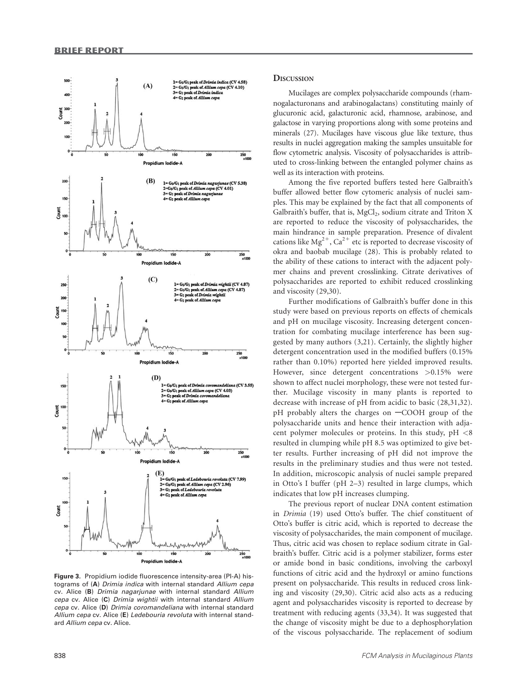

Figure 3. Propidium iodide fluorescence intensity-area (PI-A) histograms of (A) Drimia indica with internal standard Allium cepa cv. Alice (B) Drimia nagarjunae with internal standard Allium cepa cv. Alice (C) Drimia wightii with internal standard Allium cepa cv. Alice (D) Drimia coromandeliana with internal standard Allium cepa cv. Alice (E) Ledebouria revoluta with internal standard Allium cepa cv. Alice.

# **DISCUSSION**

Mucilages are complex polysaccharide compounds (rhamnogalacturonans and arabinogalactans) constituting mainly of glucuronic acid, galacturonic acid, rhamnose, arabinose, and galactose in varying proportions along with some proteins and minerals (27). Mucilages have viscous glue like texture, thus results in nuclei aggregation making the samples unsuitable for flow cytometric analysis. Viscosity of polysaccharides is attributed to cross-linking between the entangled polymer chains as well as its interaction with proteins.

Among the five reported buffers tested here Galbraith's buffer allowed better flow cytomeric analysis of nuclei samples. This may be explained by the fact that all components of Galbraith's buffer, that is,  $\text{MgCl}_2$ , sodium citrate and Triton X are reported to reduce the viscosity of polysaccharides, the main hindrance in sample preparation. Presence of divalent cations like  $Mg^{2+}$ , Ca<sup>2+</sup> etc is reported to decrease viscosity of okra and baobab mucilage (28). This is probably related to the ability of these cations to interact with the adjacent polymer chains and prevent crosslinking. Citrate derivatives of polysaccharides are reported to exhibit reduced crosslinking and viscosity (29,30).

Further modifications of Galbraith's buffer done in this study were based on previous reports on effects of chemicals and pH on mucilage viscosity. Increasing detergent concentration for combating mucilage interference has been suggested by many authors (3,21). Certainly, the slightly higher detergent concentration used in the modified buffers (0.15% rather than 0.10%) reported here yielded improved results. However, since detergent concentrations >0.15% were shown to affect nuclei morphology, these were not tested further. Mucilage viscosity in many plants is reported to decrease with increase of pH from acidic to basic (28,31,32).  $pH$  probably alters the charges on  $-COOH$  group of the polysaccharide units and hence their interaction with adjacent polymer molecules or proteins. In this study,  $pH < 8$ resulted in clumping while pH 8.5 was optimized to give better results. Further increasing of pH did not improve the results in the preliminary studies and thus were not tested. In addition, microscopic analysis of nuclei sample prepared in Otto's I buffer (pH 2–3) resulted in large clumps, which indicates that low pH increases clumping.

The previous report of nuclear DNA content estimation in Drimia (19) used Otto's buffer. The chief constituent of Otto's buffer is citric acid, which is reported to decrease the viscosity of polysaccharides, the main component of mucilage. Thus, citric acid was chosen to replace sodium citrate in Galbraith's buffer. Citric acid is a polymer stabilizer, forms ester or amide bond in basic conditions, involving the carboxyl functions of citric acid and the hydroxyl or amino functions present on polysaccharide. This results in reduced cross linking and viscosity (29,30). Citric acid also acts as a reducing agent and polysaccharides viscosity is reported to decrease by treatment with reducing agents (33,34). It was suggested that the change of viscosity might be due to a dephosphorylation of the viscous polysaccharide. The replacement of sodium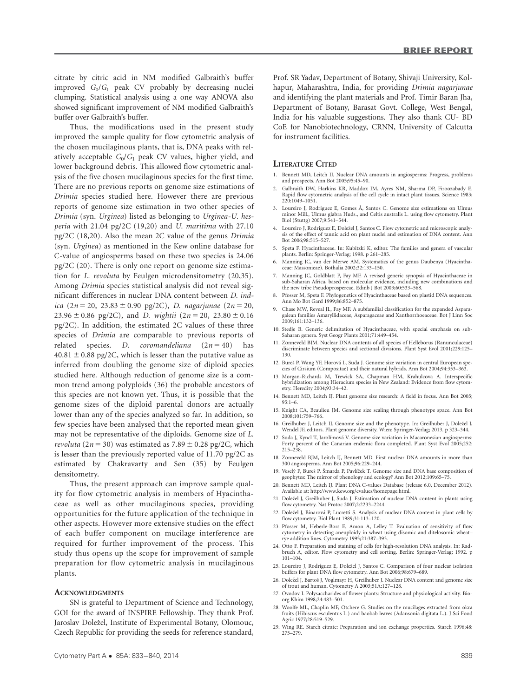citrate by citric acid in NM modified Galbraith's buffer improved  $G_0/G_1$  peak CV probably by decreasing nuclei clumping. Statistical analysis using a one way ANOVA also showed significant improvement of NM modified Galbraith's buffer over Galbraith's buffer.

Thus, the modifications used in the present study improved the sample quality for flow cytometric analysis of the chosen mucilaginous plants, that is, DNA peaks with relatively acceptable  $G_0/G_1$  peak CV values, higher yield, and lower background debris. This allowed flow cytometric analysis of the five chosen mucilaginous species for the first time. There are no previous reports on genome size estimations of Drimia species studied here. However there are previous reports of genome size estimation in two other species of Drimia (syn. Urginea) listed as belonging to Urginea-U. hesperia with 21.04 pg/2C (19,20) and U. maritima with 27.10 pg/2C (18,20). Also the mean 2C value of the genus Drimia (syn. Urginea) as mentioned in the Kew online database for C-value of angiosperms based on these two species is 24.06 pg/2C (20). There is only one report on genome size estimation for L. revoluta by Feulgen microdensitometry (20,35). Among Drimia species statistical analysis did not reveal significant differences in nuclear DNA content between D. indica (2n = 20, 23.83  $\pm$  0.90 pg/2C), D. nagarjunae (2n = 20, 23.96  $\pm$  0.86 pg/2C), and *D. wightii* (2*n* = 20, 23.80  $\pm$  0.16 pg/2C). In addition, the estimated 2C values of these three species of Drimia are comparable to previous reports of related species. D. coromandeliana  $(2n = 40)$  has  $40.81 \pm 0.88$  pg/2C, which is lesser than the putative value as inferred from doubling the genome size of diploid species studied here. Although reduction of genome size is a common trend among polyploids (36) the probable ancestors of this species are not known yet. Thus, it is possible that the genome sizes of the diploid parental donors are actually lower than any of the species analyzed so far. In addition, so few species have been analysed that the reported mean given may not be representative of the diploids. Genome size of L. revoluta (2n = 30) was estimated as 7.89  $\pm$  0.28 pg/2C, which is lesser than the previously reported value of 11.70 pg/2C as estimated by Chakravarty and Sen (35) by Feulgen densitometry.

Thus, the present approach can improve sample quality for flow cytometric analysis in members of Hyacinthaceae as well as other mucilaginous species, providing opportunities for the future application of the technique in other aspects. However more extensive studies on the effect of each buffer component on mucilage interference are required for further improvement of the process. This study thus opens up the scope for improvement of sample preparation for flow cytometric analysis in mucilaginous plants.

#### **ACKNOWLEDGMENTS**

SN is grateful to Department of Science and Technology, GOI for the award of INSPIRE Fellowship. They thank Prof. Jaroslav Doležel, Institute of Experimental Botany, Olomouc, Czech Republic for providing the seeds for reference standard,

Prof. SR Yadav, Department of Botany, Shivaji University, Kolhapur, Maharashtra, India, for providing Drimia nagarjunae and identifying the plant materials and Prof. Timir Baran Jha, Department of Botany, Barasat Govt. College, West Bengal, India for his valuable suggestions. They also thank CU- BD CoE for Nanobiotechnology, CRNN, University of Calcutta for instrument facilities.

#### LITERATURE CITED

- 1. Bennett MD, Leitch IJ. Nuclear DNA amounts in angiosperms: Progress, problems and prospects. Ann Bot 2005;95:45–90.
- 2. Galbraith DW, Harkins KR, Maddox JM, Ayres NM, Sharma DP, Firoozabady E. Rapid flow cytometric analysis of the cell cycle in intact plant tissues. Science 1983; 220:1049–1051.
- 3. Loureiro J, Rodriguez E, Gomes A, Santos C. Genome size estimations on Ulmus ^ minor Mill., Ulmus glabra Huds., and Celtis australis L. using flow cytometry. Plant Biol (Stuttg) 2007;9:541–544.
- 4. Loureiro J, Rodriguez E, Doležel J, Santos C. Flow cytometric and microscopic analysis of the effect of tannic acid on plant nuclei and estimation of DNA content. Ann Bot 2006;98:515–527.
- 5. Speta F. Hyacinthaceae. In: Kubitzki K, editor. The families and genera of vascular plants. Berlin: Springer-Verlag; 1998. p 261–285.
- 6. Manning JC, van der Merwe AM. Systematics of the genus Daubenya (Hyacinthaceae: Massonieae). Bothalia 2002;32:133–150.
- 7. Manning JC, Goldblatt P, Fay MF. A revised generic synopsis of Hyacinthaceae in sub-Saharan Africa, based on molecular evidence, including new combinations and the new tribe Pseudoprospereae. Edinb J Bot 2003;60:533–568.
- 8. Pfosser M, Speta F. Phylogenetics of Hyacinthaceae based on plastid DNA sequences. Ann Mo Bot Gard 1999;86:852–875.
- 9. Chase MW, Reveal JL, Fay MF. A subfamilial classification for the expanded Asparagalean families Amaryllidaceae, Asparagaceae and Xanthorrhoeaceae. Bot J Linn Soc 2009;161:132–136.
- 10. Stedje B. Generic delimitation of Hyacinthaceae, with special emphasis on sub-Saharan genera. Syst Geogr Plants 2001;71:449–454.
- 11. Zonneveld BJM. Nuclear DNA contents of all species of Helleborus (Ranunculaceae) discriminate between species and sectional divisions. Plant Syst Evol 2001;229:125– 130.
- 12. Bureš P, Wang YF, Horová L, Suda J. Genome size variation in central European species of Cirsium (Compositae) and their natural hybrids. Ann Bot 2004;94:353–363.
- 13. Morgan-Richards M, Trewick SA, Chapman HM, Krahulcova A. Interspecific hybridization among Hieracium species in New Zealand: Evidence from flow cytom-etry. Heredity 2004;93:34–42.
- 14. Bennett MD, Leitch IJ. Plant genome size research: A field in focus. Ann Bot 2005; 95:1–6.
- 15. Knight CA, Beaulieu JM. Genome size scaling through phenotype space. Ann Bot 2008;101:759–766.
- 16. Greilhuber J, Leitch IJ. Genome size and the phenotype. In: Greilhuber J, Doležel J, Wendel JF, editors. Plant genome diversity. Wien: Springer-Verlag; 2013. p 323–344.
- 17. Suda J, Kyncl T, Jarolímová V. Genome size variation in Macaronesian angiosperms: Forty percent of the Canarian endemic flora completed. Plant Syst Evol 2005;252: 215–238.
- 18. Zonneveld BJM, Leitch IJ, Bennett MD. First nuclear DNA amounts in more than 300 angiosperms. Ann Bot 2005;96:229–244.
- 19. Veselý P, Bureš P, Šmarda P, Pavlíček T. Genome size and DNA base composition of geophytes: The mirror of phenology and ecology? Ann Bot 2012;109:65–75.
- 20. Bennett MD, Leitch II, Plant DNA C-values Database (release 6.0, December 2012). Available at: http://www.kew.org/cvalues/homepage.html.
- 21. Doležel J, Greilhuber J, Suda J. Estimation of nuclear DNA content in plants using flow cytometry. Nat Protoc 2007;2:2233–2244.
- 22. Doležel J, Binarová P, Lucretti S. Analysis of nuclear DNA content in plant cells by flow cytometry. Biol Plant 1989;31:113–120.
- 23. Pfosser M, Heberle-Bors E, Amon A, Lelley T. Evaluation of sensitivity of flow cytometry in detecting aneuploidy in wheat using disomic and ditelosomic wheat– rye addition lines. Cytometry 1995;21:387–393.
- 24. Otto F. Preparation and staining of cells for high-resolution DNA analysis. In: Radbruch A, editor. Flow cytometry and cell sorting. Berlin: Springer-Verlag; 1992. p 101–104.
- 25. Loureiro J, Rodriguez E, Doležel J, Santos C. Comparison of four nuclear isolation buffers for plant DNA flow cytometry. Ann Bot 2006;98:679–689.
- 26. Doležel J, Bartoš J, Voglmayr H, Greilhuber J. Nuclear DNA content and genome size of trout and human. Cytometry A 2003;51A:127–128.
- 27. Ovodov I. Polysaccharides of flower plants: Structure and physiological activity. Bioorg Khim 1998;24:483–501.
- 28. Woolfe ML, Chaplin MF, Otchere G. Studies on the mucilages extracted from okra fruits (Hibiscus esculentus L.) and baobab leaves (Adansonia digitata L.). J Sci Food Agric 1977;28:519–529.
- 29. Wing RE. Starch citrate: Preparation and ion exchange properties. Starch 1996;48: 275–279.